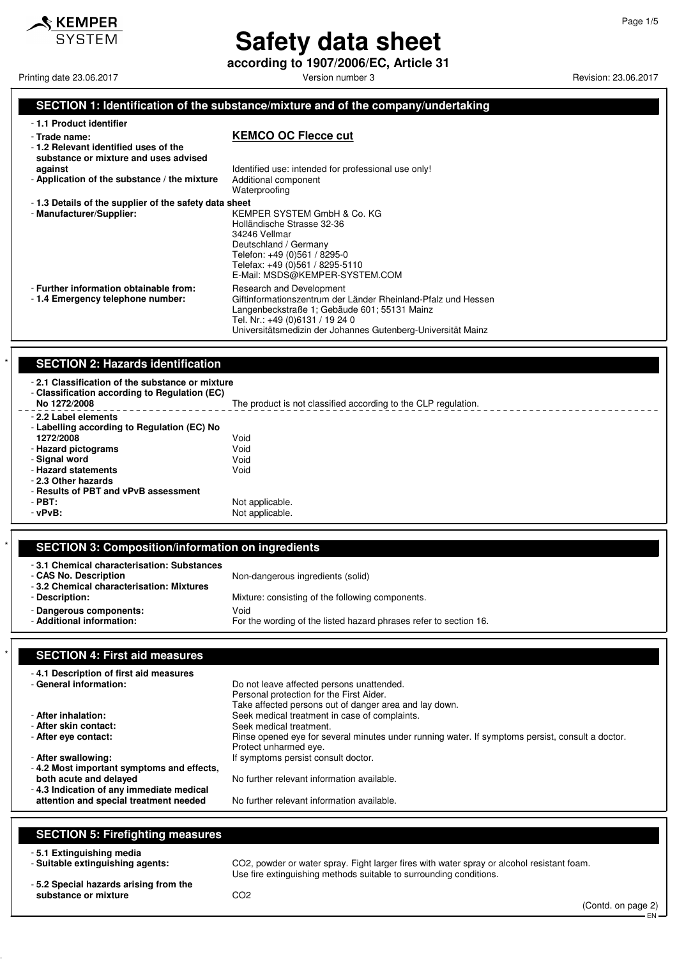

**according to 1907/2006/EC, Article 31**

Printing date 23.06.2017 **Printing date 23.06.2017** Version number 3 Revision: 23.06.2017

Page 1/5

#### **SECTION 1: Identification of the substance/mixture and of the company/undertaking**

| - 1.1 Product identifier                                                                       |                                                                                                                                                                                                                                              |
|------------------------------------------------------------------------------------------------|----------------------------------------------------------------------------------------------------------------------------------------------------------------------------------------------------------------------------------------------|
| - Trade name:<br>-1.2 Relevant identified uses of the<br>substance or mixture and uses advised | <b>KEMCO OC Flecce cut</b>                                                                                                                                                                                                                   |
| against                                                                                        | Identified use: intended for professional use only!                                                                                                                                                                                          |
| - Application of the substance / the mixture                                                   | Additional component<br>Waterproofing                                                                                                                                                                                                        |
| -1.3 Details of the supplier of the safety data sheet                                          |                                                                                                                                                                                                                                              |
| - Manufacturer/Supplier:                                                                       | KEMPER SYSTEM GmbH & Co. KG<br>Holländische Strasse 32-36<br>34246 Vellmar<br>Deutschland / Germany<br>Telefon: +49 (0)561 / 8295-0<br>Telefax: +49 (0)561 / 8295-5110<br>E-Mail: MSDS@KEMPER-SYSTEM.COM                                     |
| - Further information obtainable from:<br>-1.4 Emergency telephone number:                     | Research and Development<br>Giftinformationszentrum der Länder Rheinland-Pfalz und Hessen<br>Langenbeckstraße 1; Gebäude 601; 55131 Mainz<br>Tel. Nr.: +49 (0)6131 / 19 24 0<br>Universitätsmedizin der Johannes Gutenberg-Universität Mainz |

#### **SECTION 2: Hazards identification**

| -2.1 Classification of the substance or mixture<br>- Classification according to Regulation (EC)<br>No 1272/2008 | The product is not classified according to the CLP regulation. |
|------------------------------------------------------------------------------------------------------------------|----------------------------------------------------------------|
| - 2.2 Label elements<br>- Labelling according to Regulation (EC) No                                              |                                                                |
| 1272/2008                                                                                                        | Void                                                           |
| - Hazard pictograms                                                                                              | Void                                                           |
| - Signal word                                                                                                    | Void                                                           |
| - Hazard statements                                                                                              | Void                                                           |
| - 2.3 Other hazards                                                                                              |                                                                |
| - Results of PBT and vPvB assessment                                                                             |                                                                |
| $-$ PBT:                                                                                                         | Not applicable.                                                |
| $-vPvB$ :                                                                                                        | Not applicable.                                                |
|                                                                                                                  |                                                                |

### \* **SECTION 3: Composition/information on ingredients**

| -3.1 Chemical characterisation: Substances<br>- CAS No. Description | Non-dangerous ingredients (solid)                                         |
|---------------------------------------------------------------------|---------------------------------------------------------------------------|
| -3.2 Chemical characterisation: Mixtures<br>- Description:          | Mixture: consisting of the following components.                          |
| - Dangerous components:<br>- Additional information:                | Void<br>For the wording of the listed hazard phrases refer to section 16. |

#### **SECTION 4: First aid measures**

| Take affected persons out of danger area and lay down.<br>- After inhalation:<br>Seek medical treatment in case of complaints.                                                                                                                         |
|--------------------------------------------------------------------------------------------------------------------------------------------------------------------------------------------------------------------------------------------------------|
| - After skin contact:<br>Seek medical treatment.<br>- After eye contact:<br>Rinse opened eye for several minutes under running water. If symptoms persist, consult a doctor.<br>Protect unharmed eye.                                                  |
| - After swallowing:<br>If symptoms persist consult doctor.                                                                                                                                                                                             |
| -4.2 Most important symptoms and effects,<br>both acute and delayed<br>No further relevant information available.<br>- 4.3 Indication of any immediate medical<br>attention and special treatment needed<br>No further relevant information available. |

### **SECTION 5: Firefighting measures**

- **5.1 Extinguishing media**

CO2, powder or water spray. Fight larger fires with water spray or alcohol resistant foam. Use fire extinguishing methods suitable to surrounding conditions.

- **5.2 Special hazards arising from the** substance or mixture **CO2**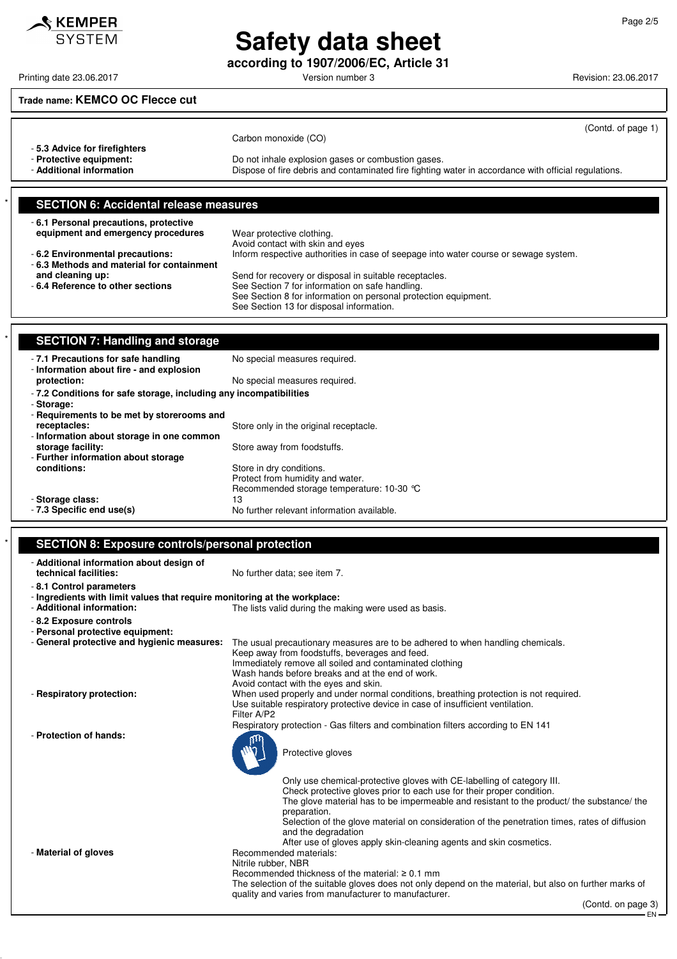**according to 1907/2006/EC, Article 31**

Printing date 23.06.2017 **Principal and COVID-100** Version number 3 Revision: 23.06.2017

### **Trade name: KEMCO OC Flecce cut**

 $\triangle$  KEMPER **SYSTEM** 

| <b>SECTION 6: Accidental release measures</b>       |                                                                                                                                                            |
|-----------------------------------------------------|------------------------------------------------------------------------------------------------------------------------------------------------------------|
| - Protective equipment:<br>- Additional information | Do not inhale explosion gases or combustion gases.<br>Dispose of fire debris and contaminated fire fighting water in accordance with official regulations. |
| -5.3 Advice for firefighters                        | (Contd. of page 1)<br>Carbon monoxide (CO)                                                                                                                 |

| -6.1 Personal precautions, protective     |                                                                                      |
|-------------------------------------------|--------------------------------------------------------------------------------------|
| equipment and emergency procedures        | Wear protective clothing.                                                            |
|                                           | Avoid contact with skin and eyes                                                     |
| -6.2 Environmental precautions:           | Inform respective authorities in case of seepage into water course or sewage system. |
| -6.3 Methods and material for containment |                                                                                      |
| and cleaning up:                          | Send for recovery or disposal in suitable receptacles.                               |
| -6.4 Reference to other sections          | See Section 7 for information on safe handling.                                      |
|                                           | See Section 8 for information on personal protection equipment.                      |
|                                           | See Section 13 for disposal information.                                             |

| $\star$ | <b>SECTION 7: Handling and storage</b>                                         |                                            |
|---------|--------------------------------------------------------------------------------|--------------------------------------------|
|         | -7.1 Precautions for safe handling<br>- Information about fire - and explosion | No special measures required.              |
|         | protection:                                                                    | No special measures required.              |
|         | - 7.2 Conditions for safe storage, including any incompatibilities             |                                            |
|         | - Storage:                                                                     |                                            |
|         | - Requirements to be met by storerooms and                                     |                                            |
|         | receptacles:                                                                   | Store only in the original receptacle.     |
|         | - Information about storage in one common                                      |                                            |
|         | storage facility:                                                              | Store away from foodstuffs.                |
|         | - Further information about storage                                            |                                            |
|         | conditions:                                                                    | Store in dry conditions.                   |
|         |                                                                                | Protect from humidity and water.           |
|         |                                                                                | Recommended storage temperature: 10-30 °C  |
|         | - Storage class:                                                               | 13                                         |
|         | - 7.3 Specific end use(s)                                                      | No further relevant information available. |

### **SECTION 8: Exposure controls/personal protection**

| - Additional information about design of<br>technical facilities:         | No further data; see item 7.                                                                                                                                     |
|---------------------------------------------------------------------------|------------------------------------------------------------------------------------------------------------------------------------------------------------------|
| -8.1 Control parameters                                                   |                                                                                                                                                                  |
| - Ingredients with limit values that require monitoring at the workplace: |                                                                                                                                                                  |
| - Additional information:                                                 | The lists valid during the making were used as basis.                                                                                                            |
| - 8.2 Exposure controls                                                   |                                                                                                                                                                  |
| - Personal protective equipment:                                          |                                                                                                                                                                  |
| - General protective and hygienic measures:                               | The usual precautionary measures are to be adhered to when handling chemicals.                                                                                   |
|                                                                           | Keep away from foodstuffs, beverages and feed.<br>Immediately remove all soiled and contaminated clothing                                                        |
|                                                                           | Wash hands before breaks and at the end of work.                                                                                                                 |
|                                                                           | Avoid contact with the eyes and skin.                                                                                                                            |
| - Respiratory protection:                                                 | When used properly and under normal conditions, breathing protection is not required.                                                                            |
|                                                                           | Use suitable respiratory protective device in case of insufficient ventilation.                                                                                  |
|                                                                           | Filter A/P2                                                                                                                                                      |
| - Protection of hands:                                                    | Respiratory protection - Gas filters and combination filters according to EN 141                                                                                 |
|                                                                           | Protective gloves                                                                                                                                                |
|                                                                           |                                                                                                                                                                  |
|                                                                           | Only use chemical-protective gloves with CE-labelling of category III.                                                                                           |
|                                                                           | Check protective gloves prior to each use for their proper condition.                                                                                            |
|                                                                           | The glove material has to be impermeable and resistant to the product/ the substance/ the                                                                        |
|                                                                           | preparation.<br>Selection of the glove material on consideration of the penetration times, rates of diffusion                                                    |
|                                                                           | and the degradation                                                                                                                                              |
|                                                                           | After use of gloves apply skin-cleaning agents and skin cosmetics.                                                                                               |
| - Material of gloves                                                      | Recommended materials:                                                                                                                                           |
|                                                                           | Nitrile rubber, NBR                                                                                                                                              |
|                                                                           | Recommended thickness of the material: $\geq 0.1$ mm                                                                                                             |
|                                                                           | The selection of the suitable gloves does not only depend on the material, but also on further marks of<br>quality and varies from manufacturer to manufacturer. |
|                                                                           | (Contd. on page 3)                                                                                                                                               |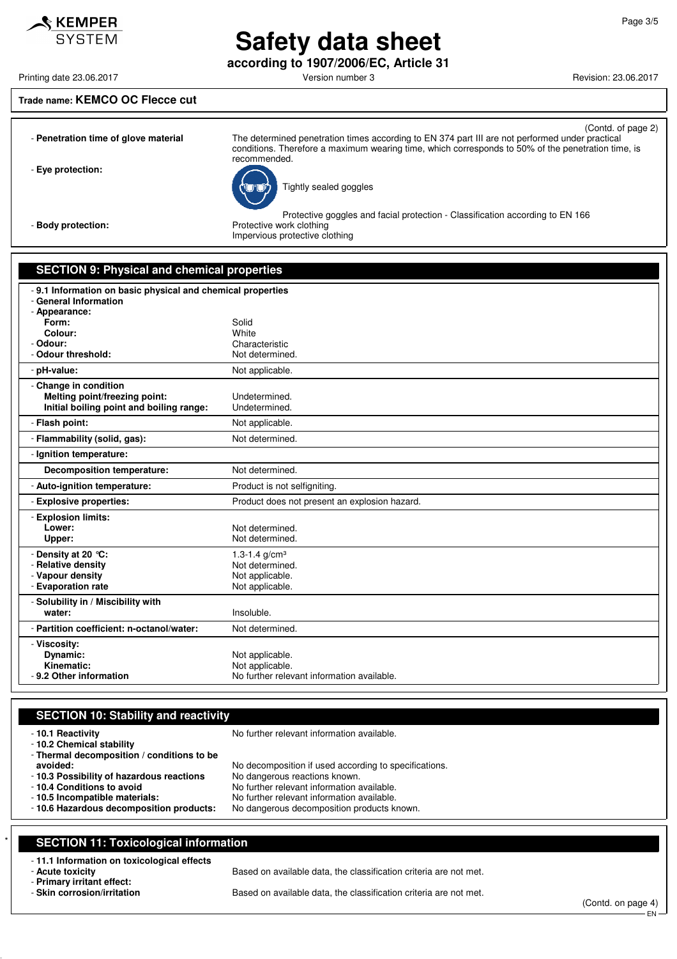**according to 1907/2006/EC, Article 31**

Printing date 23.06.2017 **Printing date 23.06.2017** Version number 3 Revision: 23.06.2017

#### **Trade name: KEMCO OC Flecce cut**

 $\mathcal S$  KEMPER **SYSTEM** 

|                                      | (Contd. of page 2)                                                                                                                                                                                                    |
|--------------------------------------|-----------------------------------------------------------------------------------------------------------------------------------------------------------------------------------------------------------------------|
| - Penetration time of glove material | The determined penetration times according to EN 374 part III are not performed under practical<br>conditions. Therefore a maximum wearing time, which corresponds to 50% of the penetration time, is<br>recommended. |
| - Eye protection:                    | Tightly sealed goggles                                                                                                                                                                                                |
| - Body protection:                   | Protective goggles and facial protection - Classification according to EN 166<br>Protective work clothing<br>Impervious protective clothing                                                                           |
|                                      |                                                                                                                                                                                                                       |

#### **SECTION 9: Physical and chemical properties**

| -9.1 Information on basic physical and chemical properties<br>- General Information |                                               |
|-------------------------------------------------------------------------------------|-----------------------------------------------|
| - Appearance:                                                                       |                                               |
| Form:                                                                               | Solid                                         |
| Colour:                                                                             | White                                         |
| - Odour:                                                                            | Characteristic                                |
| - Odour threshold:                                                                  | Not determined.                               |
| - pH-value:                                                                         | Not applicable.                               |
| - Change in condition                                                               |                                               |
| Melting point/freezing point:                                                       | Undetermined.                                 |
| Initial boiling point and boiling range:                                            | Undetermined.                                 |
| - Flash point:                                                                      | Not applicable.                               |
| - Flammability (solid, gas):                                                        | Not determined.                               |
| - Ignition temperature:                                                             |                                               |
| <b>Decomposition temperature:</b>                                                   | Not determined.                               |
| - Auto-ignition temperature:                                                        | Product is not selfigniting.                  |
| - Explosive properties:                                                             | Product does not present an explosion hazard. |
| - Explosion limits:                                                                 |                                               |
| Lower:                                                                              | Not determined.                               |
| Upper:                                                                              | Not determined.                               |
| - Density at 20 °C:                                                                 | 1.3-1.4 $g/cm3$                               |
| - Relative density                                                                  | Not determined.                               |
| - Vapour density                                                                    | Not applicable.                               |
| - Evaporation rate                                                                  | Not applicable.                               |
| - Solubility in / Miscibility with                                                  |                                               |
| water:                                                                              | Insoluble.                                    |
| - Partition coefficient: n-octanol/water:                                           | Not determined.                               |
| - Viscosity:                                                                        |                                               |
| Dynamic:                                                                            | Not applicable.                               |
| Kinematic:                                                                          | Not applicable.                               |
| -9.2 Other information                                                              | No further relevant information available.    |

#### **SECTION 10: Stability and reactivity**

| -10.1 Reactivity<br>- 10.2 Chemical stability<br>- Thermal decomposition / conditions to be | No further relevant information available.            |
|---------------------------------------------------------------------------------------------|-------------------------------------------------------|
| avoided:                                                                                    | No decomposition if used according to specifications. |
| - 10.3 Possibility of hazardous reactions                                                   | No dangerous reactions known.                         |
| - 10.4 Conditions to avoid                                                                  | No further relevant information available.            |
| -10.5 Incompatible materials:                                                               | No further relevant information available.            |
| -10.6 Hazardous decomposition products:                                                     | No dangerous decomposition products known.            |
|                                                                                             |                                                       |

# **SECTION 11: Toxicological information**

# - **11.1 Information on toxicological effects**

- **Primary irritant effect:**

Based on available data, the classification criteria are not met.

Based on available data, the classification criteria are not met.

(Contd. on page 4) - EN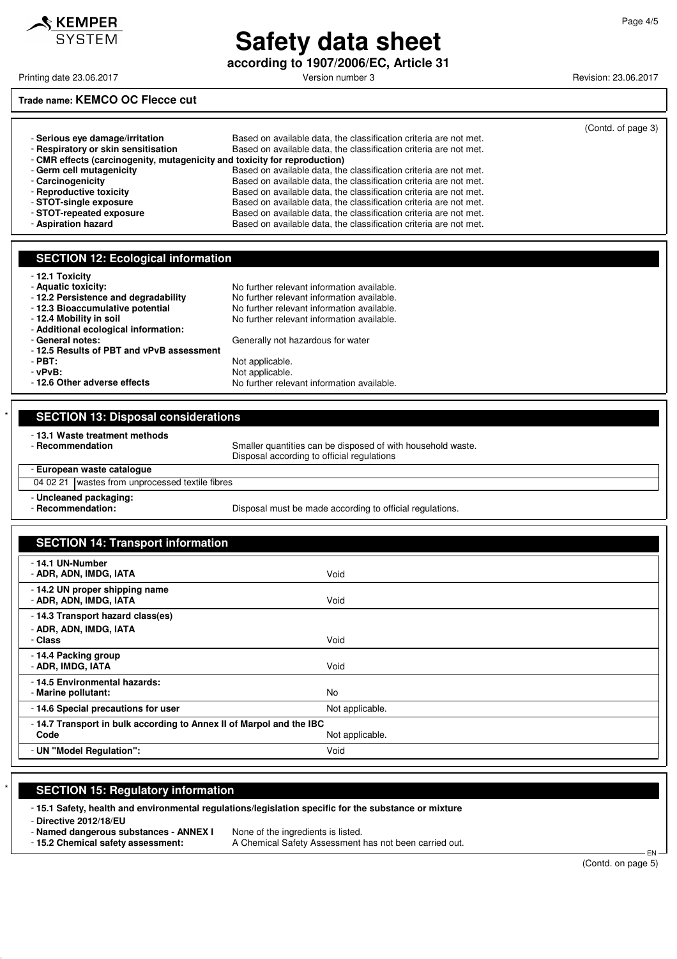

**according to 1907/2006/EC, Article 31**

Printing date 23.06.2017 **Printing date 23.06.2017** Version number 3 Revision: 23.06.2017

### **Trade name: KEMCO OC Flecce cut**

|                                                                           |                                                                   | (Contd. of page 3) |
|---------------------------------------------------------------------------|-------------------------------------------------------------------|--------------------|
| - Serious eve damage/irritation                                           | Based on available data, the classification criteria are not met. |                    |
| - Respiratory or skin sensitisation                                       | Based on available data, the classification criteria are not met. |                    |
| - CMR effects (carcinogenity, mutagenicity and toxicity for reproduction) |                                                                   |                    |
| - Germ cell mutagenicity                                                  | Based on available data, the classification criteria are not met. |                    |
| - Carcinogenicity                                                         | Based on available data, the classification criteria are not met. |                    |
| - Reproductive toxicity                                                   | Based on available data, the classification criteria are not met. |                    |
| - STOT-single exposure                                                    | Based on available data, the classification criteria are not met. |                    |
| - STOT-repeated exposure                                                  | Based on available data, the classification criteria are not met. |                    |
| - Aspiration hazard                                                       | Based on available data, the classification criteria are not met. |                    |

No further relevant information available.

No further relevant information available.

#### **SECTION 12: Ecological information**

|  |  | 12.1 Toxicity |
|--|--|---------------|
|--|--|---------------|

- 
- **Aquatic toxicity:**<br>- **12.2 Persistence and degradability** No further relevant information available.
- 
- **12.3 Bioaccumulative potential** No further relevant information available.<br>- **12.4 Mobility in soil** No further relevant information available.
- 
- **Additional ecological information:**
- 
- 12.5 Results of PBT and vPv<br>- PBT:
- 
- 

| - PBT:<br>- vPvB:<br>-12.6 Other adverse effects             | Not applicable.<br>Not applicable.<br>No further relevant information available. |
|--------------------------------------------------------------|----------------------------------------------------------------------------------|
|                                                              |                                                                                  |
| - General notes:<br>-12.5 Results of PBT and vPvB assessment | Generally not hazardous for water                                                |

|                                                                                                                                                            | <b>SECTION 13: Disposal considerations</b>         |                                                                                                           |  |  |
|------------------------------------------------------------------------------------------------------------------------------------------------------------|----------------------------------------------------|-----------------------------------------------------------------------------------------------------------|--|--|
|                                                                                                                                                            | - 13.1 Waste treatment methods<br>- Recommendation | Smaller quantities can be disposed of with household waste.<br>Disposal according to official regulations |  |  |
|                                                                                                                                                            | - European waste cataloque                         |                                                                                                           |  |  |
| 04 02 21 wastes from unprocessed textile fibres<br>- Uncleaned packaging:<br>- Recommendation:<br>Disposal must be made according to official regulations. |                                                    |                                                                                                           |  |  |
|                                                                                                                                                            |                                                    |                                                                                                           |  |  |

| <b>SECTION 14: Transport information</b>                                                        |                 |
|-------------------------------------------------------------------------------------------------|-----------------|
| - 14.1 UN-Number<br>- ADR, ADN, IMDG, IATA                                                      | Void            |
| -14.2 UN proper shipping name<br>- ADR, ADN, IMDG, IATA                                         | Void            |
| -14.3 Transport hazard class(es)                                                                |                 |
| - ADR, ADN, IMDG, IATA<br>- Class                                                               | Void            |
| -14.4 Packing group<br>- ADR, IMDG, IATA                                                        | Void            |
| - 14.5 Environmental hazards:<br>- Marine pollutant:                                            | No              |
| -14.6 Special precautions for user                                                              | Not applicable. |
| - 14.7 Transport in bulk according to Annex II of Marpol and the IBC<br>Code<br>Not applicable. |                 |
| - UN "Model Regulation":                                                                        | Void            |

#### **SECTION 15: Regulatory information**

- **15.1 Safety, health and environmental regulations/legislation specific for the substance or mixture**

- **Directive 2012/18/EU**

- **Named dangerous substances - ANNEX I** None of the ingredients is listed.

- **15.2 Chemical safety assessment:** A Chemical Safety Assessment has not been carried out.

 EN (Contd. on page 5)